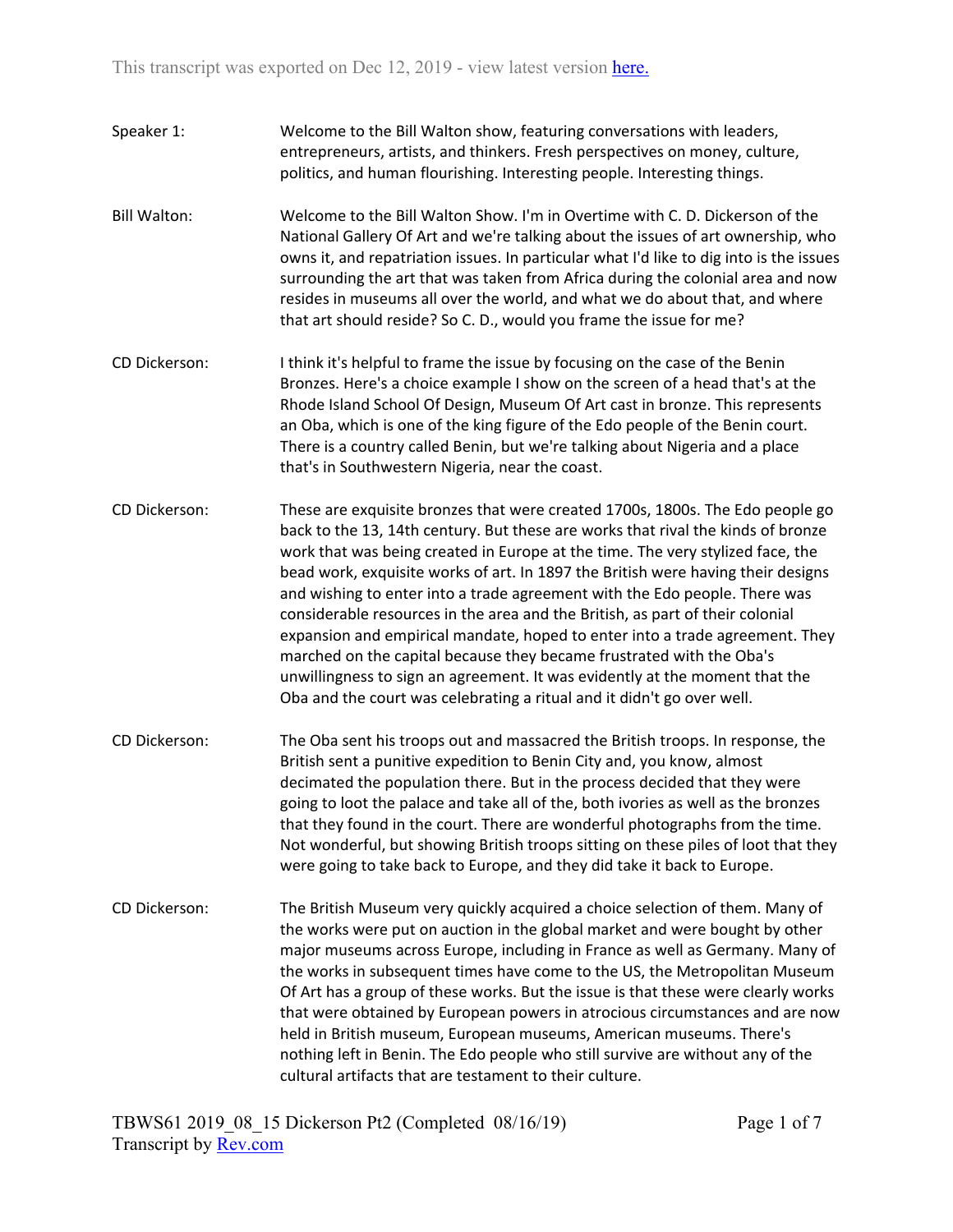- Speaker 1: Welcome to the Bill Walton show, featuring conversations with leaders, entrepreneurs, artists, and thinkers. Fresh perspectives on money, culture, politics, and human flourishing. Interesting people. Interesting things.
- Bill Walton: Welcome to the Bill Walton Show. I'm in Overtime with C. D. Dickerson of the National Gallery Of Art and we're talking about the issues of art ownership, who owns it, and repatriation issues. In particular what I'd like to dig into is the issues surrounding the art that was taken from Africa during the colonial area and now resides in museums all over the world, and what we do about that, and where that art should reside? So C. D., would you frame the issue for me?
- CD Dickerson: I think it's helpful to frame the issue by focusing on the case of the Benin Bronzes. Here's a choice example I show on the screen of a head that's at the Rhode Island School Of Design, Museum Of Art cast in bronze. This represents an Oba, which is one of the king figure of the Edo people of the Benin court. There is a country called Benin, but we're talking about Nigeria and a place that's in Southwestern Nigeria, near the coast.
- CD Dickerson: These are exquisite bronzes that were created 1700s, 1800s. The Edo people go back to the 13, 14th century. But these are works that rival the kinds of bronze work that was being created in Europe at the time. The very stylized face, the bead work, exquisite works of art. In 1897 the British were having their designs and wishing to enter into a trade agreement with the Edo people. There was considerable resources in the area and the British, as part of their colonial expansion and empirical mandate, hoped to enter into a trade agreement. They marched on the capital because they became frustrated with the Oba's unwillingness to sign an agreement. It was evidently at the moment that the Oba and the court was celebrating a ritual and it didn't go over well.
- CD Dickerson: The Oba sent his troops out and massacred the British troops. In response, the British sent a punitive expedition to Benin City and, you know, almost decimated the population there. But in the process decided that they were going to loot the palace and take all of the, both ivories as well as the bronzes that they found in the court. There are wonderful photographs from the time. Not wonderful, but showing British troops sitting on these piles of loot that they were going to take back to Europe, and they did take it back to Europe.
- CD Dickerson: The British Museum very quickly acquired a choice selection of them. Many of the works were put on auction in the global market and were bought by other major museums across Europe, including in France as well as Germany. Many of the works in subsequent times have come to the US, the Metropolitan Museum Of Art has a group of these works. But the issue is that these were clearly works that were obtained by European powers in atrocious circumstances and are now held in British museum, European museums, American museums. There's nothing left in Benin. The Edo people who still survive are without any of the cultural artifacts that are testament to their culture.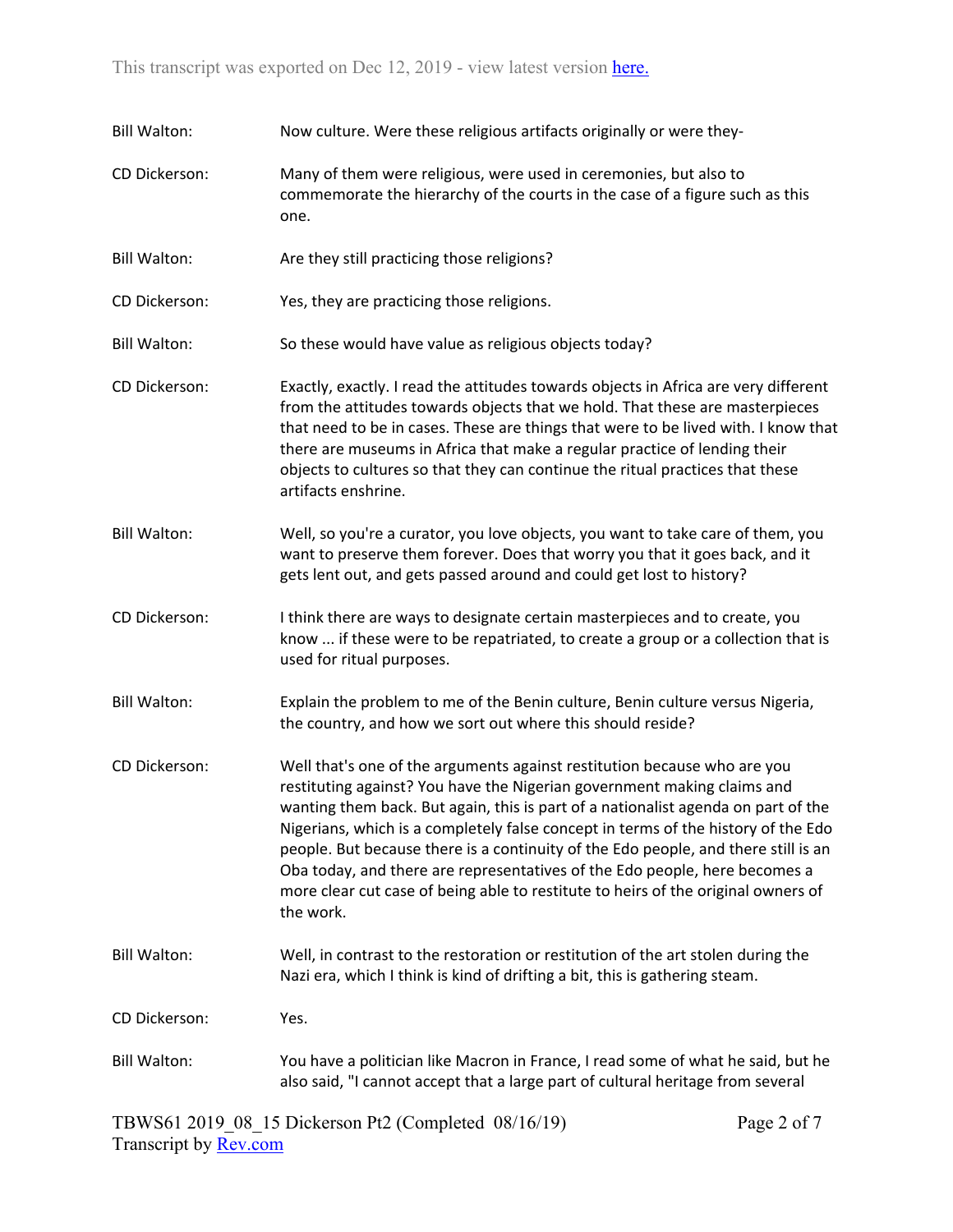| <b>Bill Walton:</b> | Now culture. Were these religious artifacts originally or were they-                                                                                                                                                                                                                                                                                                                                                                                                                                                                                                                                |  |  |
|---------------------|-----------------------------------------------------------------------------------------------------------------------------------------------------------------------------------------------------------------------------------------------------------------------------------------------------------------------------------------------------------------------------------------------------------------------------------------------------------------------------------------------------------------------------------------------------------------------------------------------------|--|--|
| CD Dickerson:       | Many of them were religious, were used in ceremonies, but also to<br>commemorate the hierarchy of the courts in the case of a figure such as this<br>one.                                                                                                                                                                                                                                                                                                                                                                                                                                           |  |  |
| <b>Bill Walton:</b> | Are they still practicing those religions?                                                                                                                                                                                                                                                                                                                                                                                                                                                                                                                                                          |  |  |
| CD Dickerson:       | Yes, they are practicing those religions.                                                                                                                                                                                                                                                                                                                                                                                                                                                                                                                                                           |  |  |
| <b>Bill Walton:</b> | So these would have value as religious objects today?                                                                                                                                                                                                                                                                                                                                                                                                                                                                                                                                               |  |  |
| CD Dickerson:       | Exactly, exactly. I read the attitudes towards objects in Africa are very different<br>from the attitudes towards objects that we hold. That these are masterpieces<br>that need to be in cases. These are things that were to be lived with. I know that<br>there are museums in Africa that make a regular practice of lending their<br>objects to cultures so that they can continue the ritual practices that these<br>artifacts enshrine.                                                                                                                                                      |  |  |
| <b>Bill Walton:</b> | Well, so you're a curator, you love objects, you want to take care of them, you<br>want to preserve them forever. Does that worry you that it goes back, and it<br>gets lent out, and gets passed around and could get lost to history?                                                                                                                                                                                                                                                                                                                                                             |  |  |
| CD Dickerson:       | I think there are ways to designate certain masterpieces and to create, you<br>know  if these were to be repatriated, to create a group or a collection that is<br>used for ritual purposes.                                                                                                                                                                                                                                                                                                                                                                                                        |  |  |
| <b>Bill Walton:</b> | Explain the problem to me of the Benin culture, Benin culture versus Nigeria,<br>the country, and how we sort out where this should reside?                                                                                                                                                                                                                                                                                                                                                                                                                                                         |  |  |
| CD Dickerson:       | Well that's one of the arguments against restitution because who are you<br>restituting against? You have the Nigerian government making claims and<br>wanting them back. But again, this is part of a nationalist agenda on part of the<br>Nigerians, which is a completely false concept in terms of the history of the Edo<br>people. But because there is a continuity of the Edo people, and there still is an<br>Oba today, and there are representatives of the Edo people, here becomes a<br>more clear cut case of being able to restitute to heirs of the original owners of<br>the work. |  |  |
| <b>Bill Walton:</b> | Well, in contrast to the restoration or restitution of the art stolen during the<br>Nazi era, which I think is kind of drifting a bit, this is gathering steam.                                                                                                                                                                                                                                                                                                                                                                                                                                     |  |  |
| CD Dickerson:       | Yes.                                                                                                                                                                                                                                                                                                                                                                                                                                                                                                                                                                                                |  |  |
| <b>Bill Walton:</b> | You have a politician like Macron in France, I read some of what he said, but he<br>also said, "I cannot accept that a large part of cultural heritage from several                                                                                                                                                                                                                                                                                                                                                                                                                                 |  |  |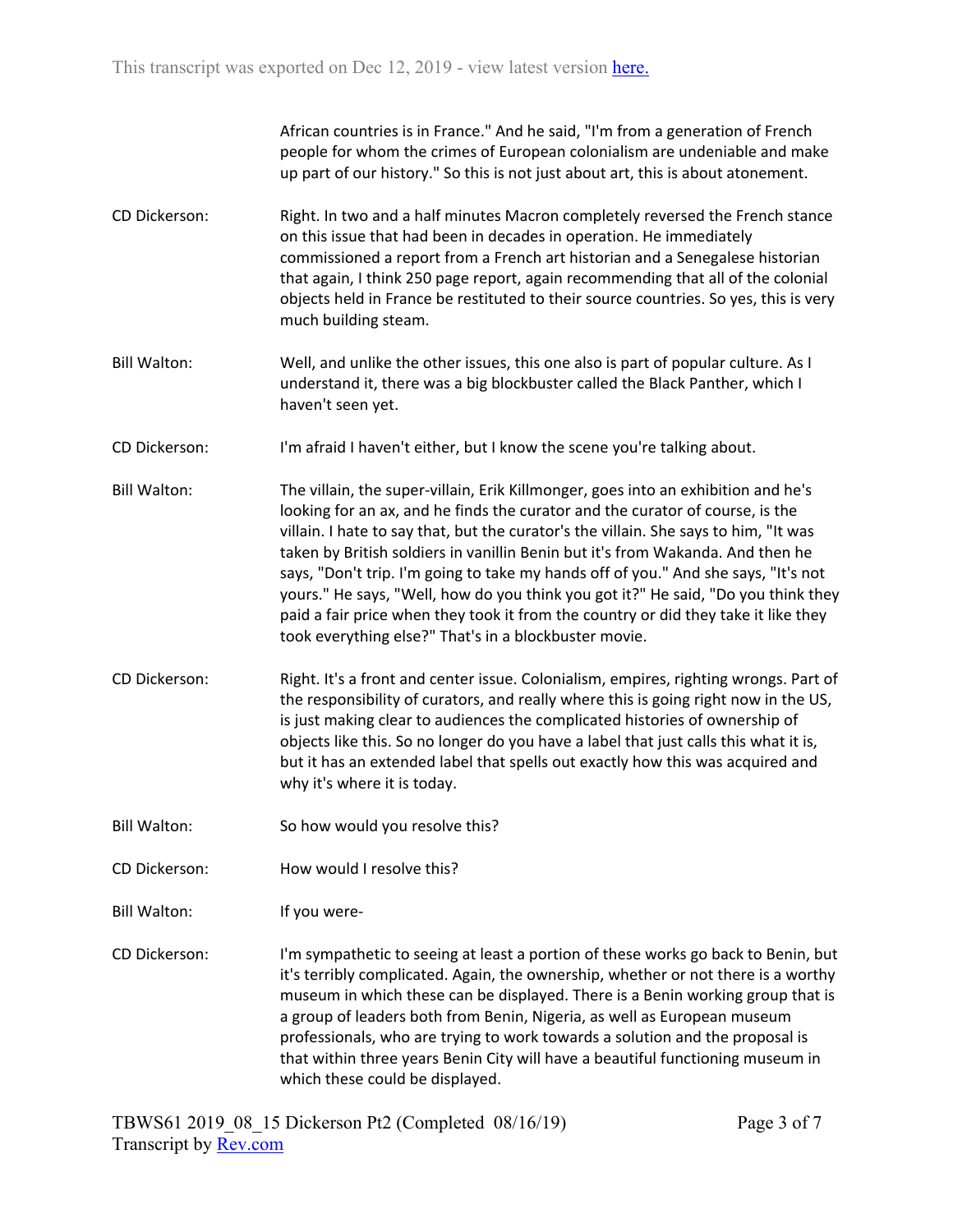African countries is in France." And he said, "I'm from a generation of French people for whom the crimes of European colonialism are undeniable and make up part of our history." So this is not just about art, this is about atonement.

- CD Dickerson: Right. In two and a half minutes Macron completely reversed the French stance on this issue that had been in decades in operation. He immediately commissioned a report from a French art historian and a Senegalese historian that again, I think 250 page report, again recommending that all of the colonial objects held in France be restituted to their source countries. So yes, this is very much building steam.
- Bill Walton: Well, and unlike the other issues, this one also is part of popular culture. As I understand it, there was a big blockbuster called the Black Panther, which I haven't seen yet.
- CD Dickerson: I'm afraid I haven't either, but I know the scene you're talking about.
- Bill Walton: The villain, the super-villain, Erik Killmonger, goes into an exhibition and he's looking for an ax, and he finds the curator and the curator of course, is the villain. I hate to say that, but the curator's the villain. She says to him, "It was taken by British soldiers in vanillin Benin but it's from Wakanda. And then he says, "Don't trip. I'm going to take my hands off of you." And she says, "It's not yours." He says, "Well, how do you think you got it?" He said, "Do you think they paid a fair price when they took it from the country or did they take it like they took everything else?" That's in a blockbuster movie.
- CD Dickerson: Right. It's a front and center issue. Colonialism, empires, righting wrongs. Part of the responsibility of curators, and really where this is going right now in the US, is just making clear to audiences the complicated histories of ownership of objects like this. So no longer do you have a label that just calls this what it is, but it has an extended label that spells out exactly how this was acquired and why it's where it is today.
- Bill Walton: So how would you resolve this?
- CD Dickerson: How would I resolve this?
- Bill Walton: If you were-
- CD Dickerson: I'm sympathetic to seeing at least a portion of these works go back to Benin, but it's terribly complicated. Again, the ownership, whether or not there is a worthy museum in which these can be displayed. There is a Benin working group that is a group of leaders both from Benin, Nigeria, as well as European museum professionals, who are trying to work towards a solution and the proposal is that within three years Benin City will have a beautiful functioning museum in which these could be displayed.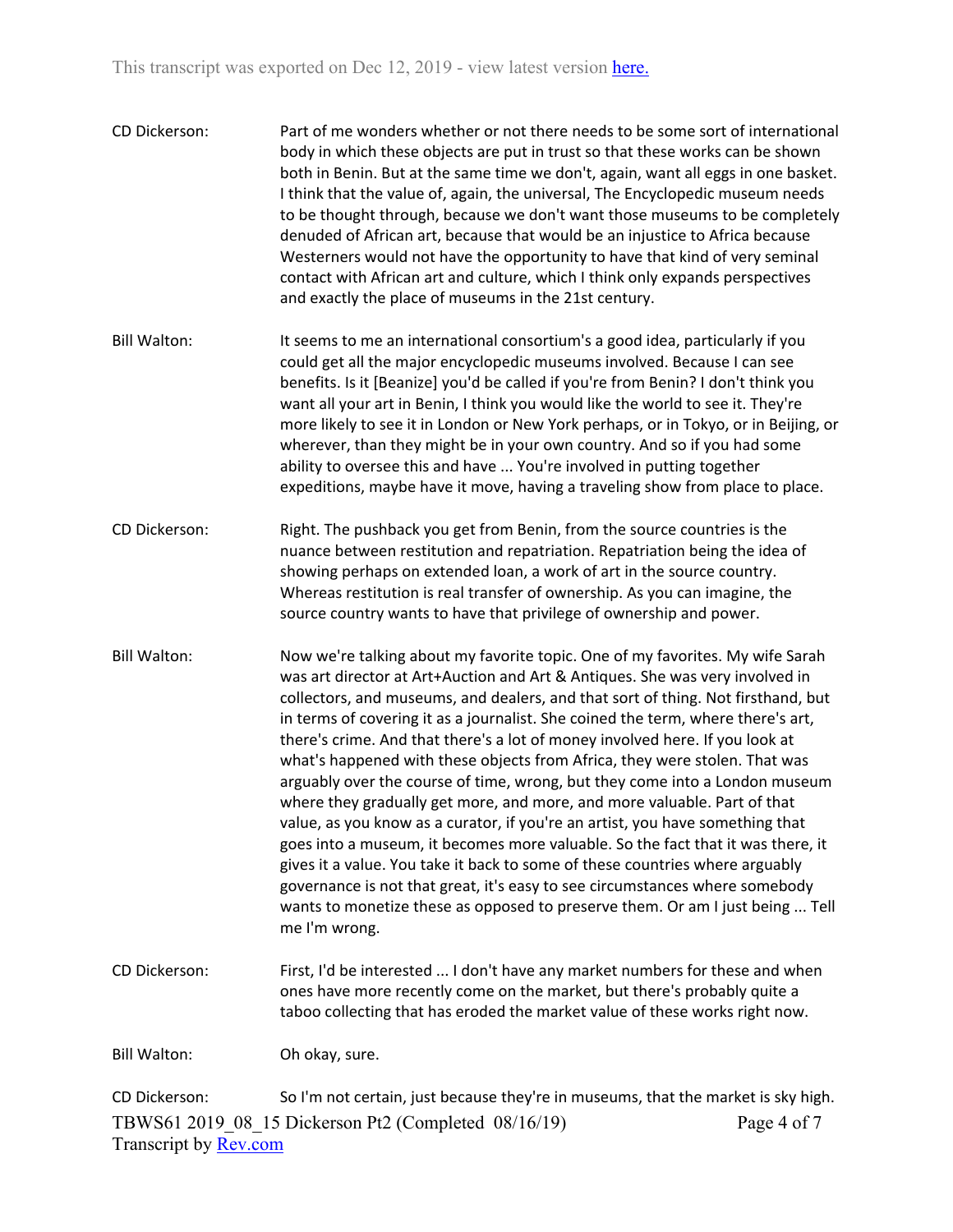| CD Dickerson:       | Part of me wonders whether or not there needs to be some sort of international<br>body in which these objects are put in trust so that these works can be shown<br>both in Benin. But at the same time we don't, again, want all eggs in one basket.<br>I think that the value of, again, the universal, The Encyclopedic museum needs<br>to be thought through, because we don't want those museums to be completely<br>denuded of African art, because that would be an injustice to Africa because<br>Westerners would not have the opportunity to have that kind of very seminal<br>contact with African art and culture, which I think only expands perspectives<br>and exactly the place of museums in the 21st century. |
|---------------------|--------------------------------------------------------------------------------------------------------------------------------------------------------------------------------------------------------------------------------------------------------------------------------------------------------------------------------------------------------------------------------------------------------------------------------------------------------------------------------------------------------------------------------------------------------------------------------------------------------------------------------------------------------------------------------------------------------------------------------|
| <b>Bill Walton:</b> | It seems to me an international consortium's a good idea, particularly if you<br>could get all the major encyclopedic museums involved. Because I can see<br>benefits. Is it [Beanize] you'd be called if you're from Benin? I don't think you<br>want all your art in Benin, I think you would like the world to see it. They're<br>more likely to see it in London or New York perhaps, or in Tokyo, or in Beijing, or<br>wherever, than they might be in your own country. And so if you had some<br>ability to oversee this and have  You're involved in putting together<br>expeditions, maybe have it move, having a traveling show from place to place.                                                                 |
| CD Dickerson:       | Right. The pushback you get from Benin, from the source countries is the<br>nuance between restitution and repatriation. Repatriation being the idea of<br>showing perhaps on extended loan, a work of art in the source country.<br>Whereas restitution is real transfer of ownership. As you can imagine, the<br>source country wants to have that privilege of ownership and power.                                                                                                                                                                                                                                                                                                                                         |
| <b>Bill Walton:</b> | Now we're talking about my favorite topic. One of my favorites. My wife Sarah<br>was art director at Art Luction and Art P. Antiques, Showas very involved in                                                                                                                                                                                                                                                                                                                                                                                                                                                                                                                                                                  |

was art director at Art+Auction and Art & Antiques. She was very involved in collectors, and museums, and dealers, and that sort of thing. Not firsthand, but in terms of covering it as a journalist. She coined the term, where there's art, there's crime. And that there's a lot of money involved here. If you look at what's happened with these objects from Africa, they were stolen. That was arguably over the course of time, wrong, but they come into a London museum where they gradually get more, and more, and more valuable. Part of that value, as you know as a curator, if you're an artist, you have something that goes into a museum, it becomes more valuable. So the fact that it was there, it gives it a value. You take it back to some of these countries where arguably governance is not that great, it's easy to see circumstances where somebody wants to monetize these as opposed to preserve them. Or am I just being ... Tell me I'm wrong.

CD Dickerson: First, I'd be interested ... I don't have any market numbers for these and when ones have more recently come on the market, but there's probably quite a taboo collecting that has eroded the market value of these works right now.

Bill Walton: Oh okay, sure.

TBWS61 2019\_08\_15 Dickerson Pt2 (Completed 08/16/19) Transcript by [Rev.com](https://www.rev.com/) Page 4 of 7 CD Dickerson: So I'm not certain, just because they're in museums, that the market is sky high.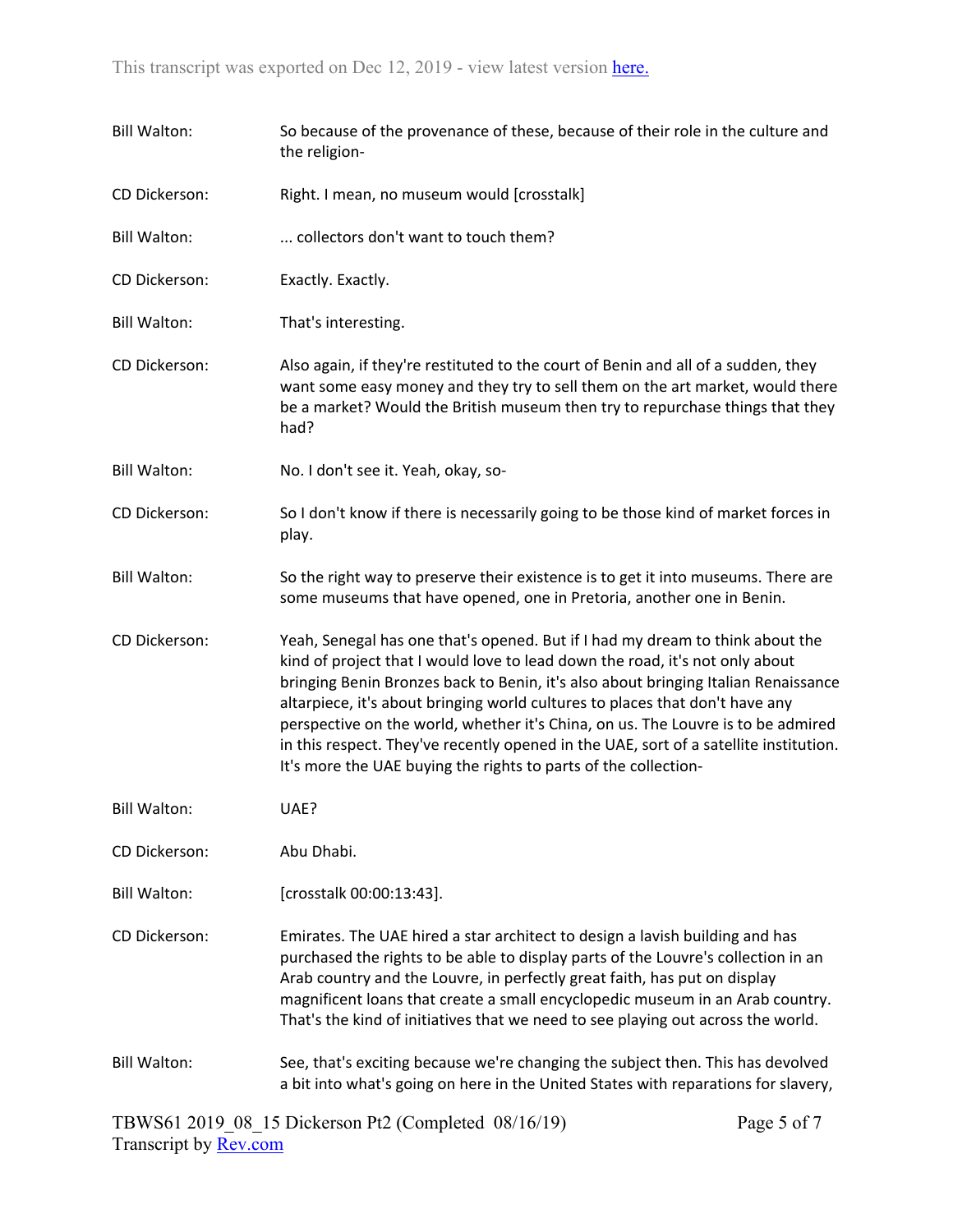| <b>Bill Walton:</b>  | So because of the provenance of these, because of their role in the culture and<br>the religion-                                                                                                                                                                                                                                                                                                                                                                                                                                                                                    |                  |  |
|----------------------|-------------------------------------------------------------------------------------------------------------------------------------------------------------------------------------------------------------------------------------------------------------------------------------------------------------------------------------------------------------------------------------------------------------------------------------------------------------------------------------------------------------------------------------------------------------------------------------|------------------|--|
| CD Dickerson:        | Right. I mean, no museum would [crosstalk]                                                                                                                                                                                                                                                                                                                                                                                                                                                                                                                                          |                  |  |
| <b>Bill Walton:</b>  | collectors don't want to touch them?                                                                                                                                                                                                                                                                                                                                                                                                                                                                                                                                                |                  |  |
| CD Dickerson:        | Exactly. Exactly.                                                                                                                                                                                                                                                                                                                                                                                                                                                                                                                                                                   |                  |  |
| <b>Bill Walton:</b>  | That's interesting.                                                                                                                                                                                                                                                                                                                                                                                                                                                                                                                                                                 |                  |  |
| CD Dickerson:        | Also again, if they're restituted to the court of Benin and all of a sudden, they<br>want some easy money and they try to sell them on the art market, would there<br>be a market? Would the British museum then try to repurchase things that they<br>had?                                                                                                                                                                                                                                                                                                                         |                  |  |
| <b>Bill Walton:</b>  | No. I don't see it. Yeah, okay, so-                                                                                                                                                                                                                                                                                                                                                                                                                                                                                                                                                 |                  |  |
| CD Dickerson:        | So I don't know if there is necessarily going to be those kind of market forces in<br>play.                                                                                                                                                                                                                                                                                                                                                                                                                                                                                         |                  |  |
| <b>Bill Walton:</b>  | So the right way to preserve their existence is to get it into museums. There are<br>some museums that have opened, one in Pretoria, another one in Benin.                                                                                                                                                                                                                                                                                                                                                                                                                          |                  |  |
| CD Dickerson:        | Yeah, Senegal has one that's opened. But if I had my dream to think about the<br>kind of project that I would love to lead down the road, it's not only about<br>bringing Benin Bronzes back to Benin, it's also about bringing Italian Renaissance<br>altarpiece, it's about bringing world cultures to places that don't have any<br>perspective on the world, whether it's China, on us. The Louvre is to be admired<br>in this respect. They've recently opened in the UAE, sort of a satellite institution.<br>It's more the UAE buying the rights to parts of the collection- |                  |  |
| <b>Bill Walton:</b>  | UAE?                                                                                                                                                                                                                                                                                                                                                                                                                                                                                                                                                                                |                  |  |
| CD Dickerson:        | Abu Dhabi.                                                                                                                                                                                                                                                                                                                                                                                                                                                                                                                                                                          |                  |  |
| <b>Bill Walton:</b>  | [crosstalk 00:00:13:43].                                                                                                                                                                                                                                                                                                                                                                                                                                                                                                                                                            |                  |  |
| <b>CD Dickerson:</b> | Emirates. The UAE hired a star architect to design a lavish building and has<br>purchased the rights to be able to display parts of the Louvre's collection in an<br>Arab country and the Louvre, in perfectly great faith, has put on display<br>magnificent loans that create a small encyclopedic museum in an Arab country.<br>That's the kind of initiatives that we need to see playing out across the world.                                                                                                                                                                 |                  |  |
| <b>Bill Walton:</b>  | See, that's exciting because we're changing the subject then. This has devolved<br>a bit into what's going on here in the United States with reparations for slavery,                                                                                                                                                                                                                                                                                                                                                                                                               |                  |  |
|                      | TRWS61.2019.08.15 Dickerson Pt2 (Completed, $08/16/19$ )                                                                                                                                                                                                                                                                                                                                                                                                                                                                                                                            | $P_{309}$ 5 of 7 |  |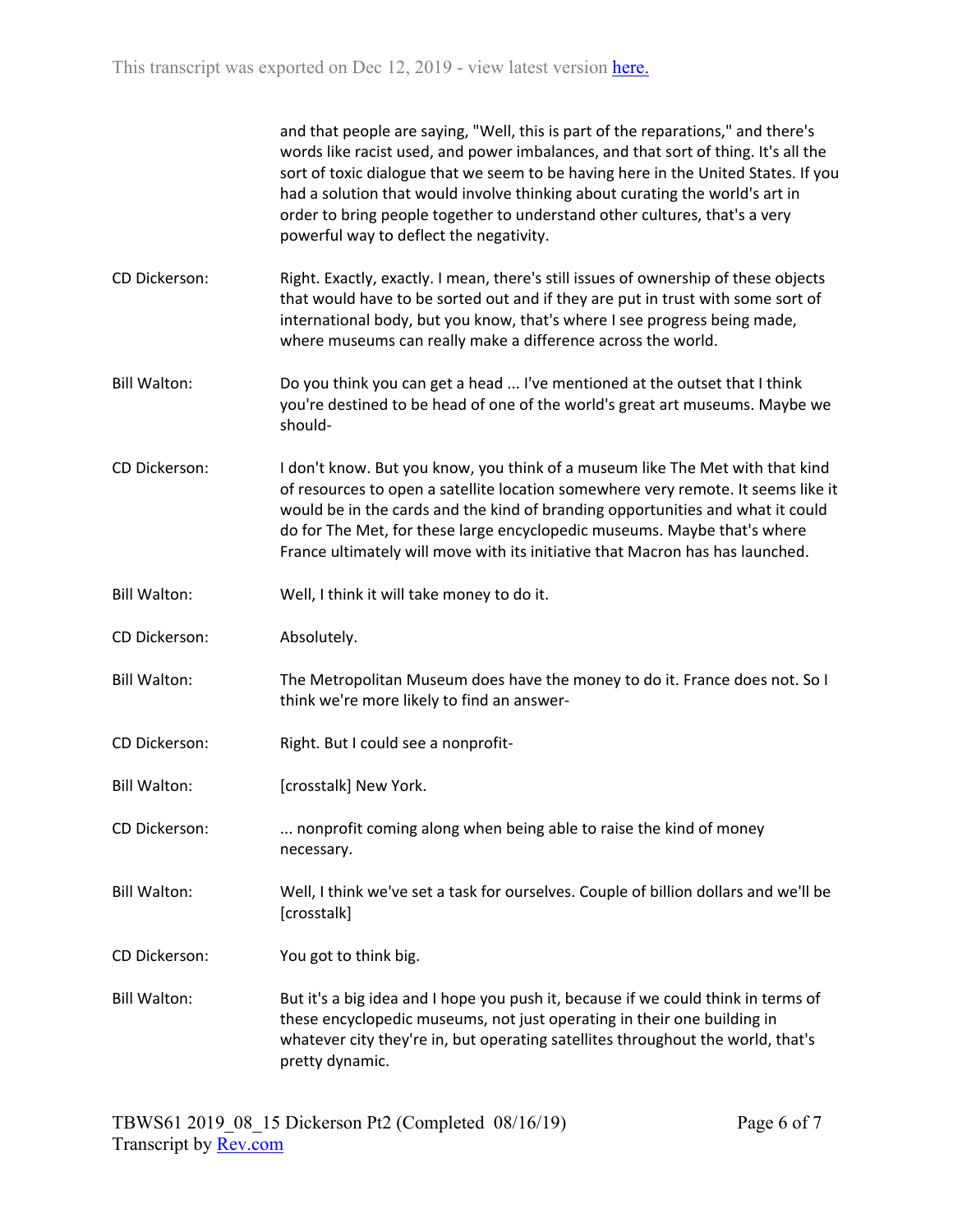and that people are saying, "Well, this is part of the reparations," and there's words like racist used, and power imbalances, and that sort of thing. It's all the sort of toxic dialogue that we seem to be having here in the United States. If you had a solution that would involve thinking about curating the world's art in order to bring people together to understand other cultures, that's a very powerful way to deflect the negativity.

- CD Dickerson: Right. Exactly, exactly. I mean, there's still issues of ownership of these objects that would have to be sorted out and if they are put in trust with some sort of international body, but you know, that's where I see progress being made, where museums can really make a difference across the world.
- Bill Walton: Do you think you can get a head ... I've mentioned at the outset that I think you're destined to be head of one of the world's great art museums. Maybe we should-
- CD Dickerson: I don't know. But you know, you think of a museum like The Met with that kind of resources to open a satellite location somewhere very remote. It seems like it would be in the cards and the kind of branding opportunities and what it could do for The Met, for these large encyclopedic museums. Maybe that's where France ultimately will move with its initiative that Macron has has launched.
- Bill Walton: Well, I think it will take money to do it.
- CD Dickerson: Absolutely.
- Bill Walton: The Metropolitan Museum does have the money to do it. France does not. So I think we're more likely to find an answer-
- CD Dickerson: Right. But I could see a nonprofit-
- Bill Walton: [crosstalk] New York.
- CD Dickerson: ... nonprofit coming along when being able to raise the kind of money necessary.
- Bill Walton: Well, I think we've set a task for ourselves. Couple of billion dollars and we'll be [crosstalk]
- CD Dickerson: You got to think big.
- Bill Walton: But it's a big idea and I hope you push it, because if we could think in terms of these encyclopedic museums, not just operating in their one building in whatever city they're in, but operating satellites throughout the world, that's pretty dynamic.